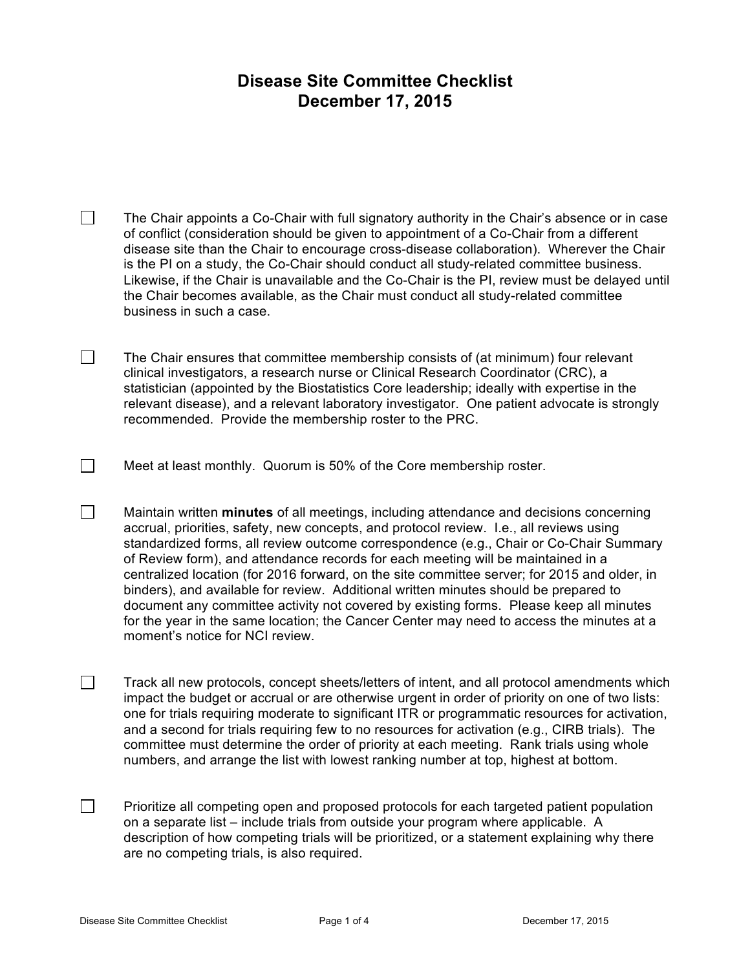## **Disease Site Committee Checklist December 17, 2015**

 $\Box$ The Chair appoints a Co-Chair with full signatory authority in the Chair's absence or in case of conflict (consideration should be given to appointment of a Co-Chair from a different disease site than the Chair to encourage cross-disease collaboration). Wherever the Chair is the PI on a study, the Co-Chair should conduct all study-related committee business. Likewise, if the Chair is unavailable and the Co-Chair is the PI, review must be delayed until the Chair becomes available, as the Chair must conduct all study-related committee business in such a case.

 $\Box$ The Chair ensures that committee membership consists of (at minimum) four relevant clinical investigators, a research nurse or Clinical Research Coordinator (CRC), a statistician (appointed by the Biostatistics Core leadership; ideally with expertise in the relevant disease), and a relevant laboratory investigator. One patient advocate is strongly recommended. Provide the membership roster to the PRC.

Meet at least monthly. Quorum is 50% of the Core membership roster.

 $\Box$ Maintain written **minutes** of all meetings, including attendance and decisions concerning accrual, priorities, safety, new concepts, and protocol review. I.e., all reviews using standardized forms, all review outcome correspondence (e.g., Chair or Co-Chair Summary of Review form), and attendance records for each meeting will be maintained in a centralized location (for 2016 forward, on the site committee server; for 2015 and older, in binders), and available for review. Additional written minutes should be prepared to document any committee activity not covered by existing forms. Please keep all minutes for the year in the same location; the Cancer Center may need to access the minutes at a moment's notice for NCI review.

 $\Box$ Track all new protocols, concept sheets/letters of intent, and all protocol amendments which impact the budget or accrual or are otherwise urgent in order of priority on one of two lists: one for trials requiring moderate to significant ITR or programmatic resources for activation, and a second for trials requiring few to no resources for activation (e.g., CIRB trials). The committee must determine the order of priority at each meeting. Rank trials using whole numbers, and arrange the list with lowest ranking number at top, highest at bottom.

 $\Box$ Prioritize all competing open and proposed protocols for each targeted patient population on a separate list – include trials from outside your program where applicable. A description of how competing trials will be prioritized, or a statement explaining why there are no competing trials, is also required.

 $\Box$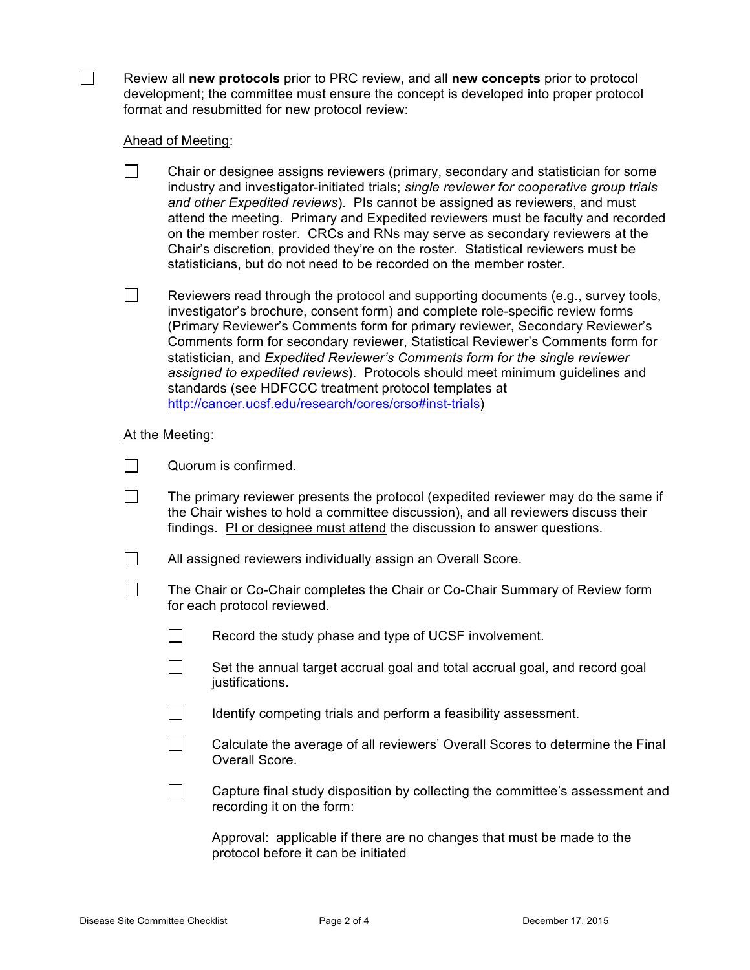Review all **new protocols** prior to PRC review, and all **new concepts** prior to protocol development; the committee must ensure the concept is developed into proper protocol format and resubmitted for new protocol review:

## Ahead of Meeting:

П.

| Chair or designee assigns reviewers (primary, secondary and statistician for some        |
|------------------------------------------------------------------------------------------|
| industry and investigator-initiated trials; single reviewer for cooperative group trials |
| and other Expedited reviews). Pls cannot be assigned as reviewers, and must              |
| attend the meeting. Primary and Expedited reviewers must be faculty and recorded         |
| on the member roster. CRCs and RNs may serve as secondary reviewers at the               |
| Chair's discretion, provided they're on the roster. Statistical reviewers must be        |
| statisticians, but do not need to be recorded on the member roster.                      |
|                                                                                          |

 $\Box$ Reviewers read through the protocol and supporting documents (e.g., survey tools, investigator's brochure, consent form) and complete role-specific review forms (Primary Reviewer's Comments form for primary reviewer, Secondary Reviewer's Comments form for secondary reviewer, Statistical Reviewer's Comments form for statistician, and *Expedited Reviewer's Comments form for the single reviewer assigned to expedited reviews*). Protocols should meet minimum guidelines and standards (see HDFCCC treatment protocol templates at http://cancer.ucsf.edu/research/cores/crso#inst-trials)

## At the Meeting:

|  |  | Quorum is confirmed. |
|--|--|----------------------|
|--|--|----------------------|

- П The primary reviewer presents the protocol (expedited reviewer may do the same if the Chair wishes to hold a committee discussion), and all reviewers discuss their findings. PI or designee must attend the discussion to answer questions.
- $\Box$ All assigned reviewers individually assign an Overall Score.
- П The Chair or Co-Chair completes the Chair or Co-Chair Summary of Review form for each protocol reviewed.
	- П. Record the study phase and type of UCSF involvement.
	- $\Box$ Set the annual target accrual goal and total accrual goal, and record goal justifications.
	- $\Box$ Identify competing trials and perform a feasibility assessment.
	- $\Box$ Calculate the average of all reviewers' Overall Scores to determine the Final Overall Score.
	- $\Box$ Capture final study disposition by collecting the committee's assessment and recording it on the form:

Approval: applicable if there are no changes that must be made to the protocol before it can be initiated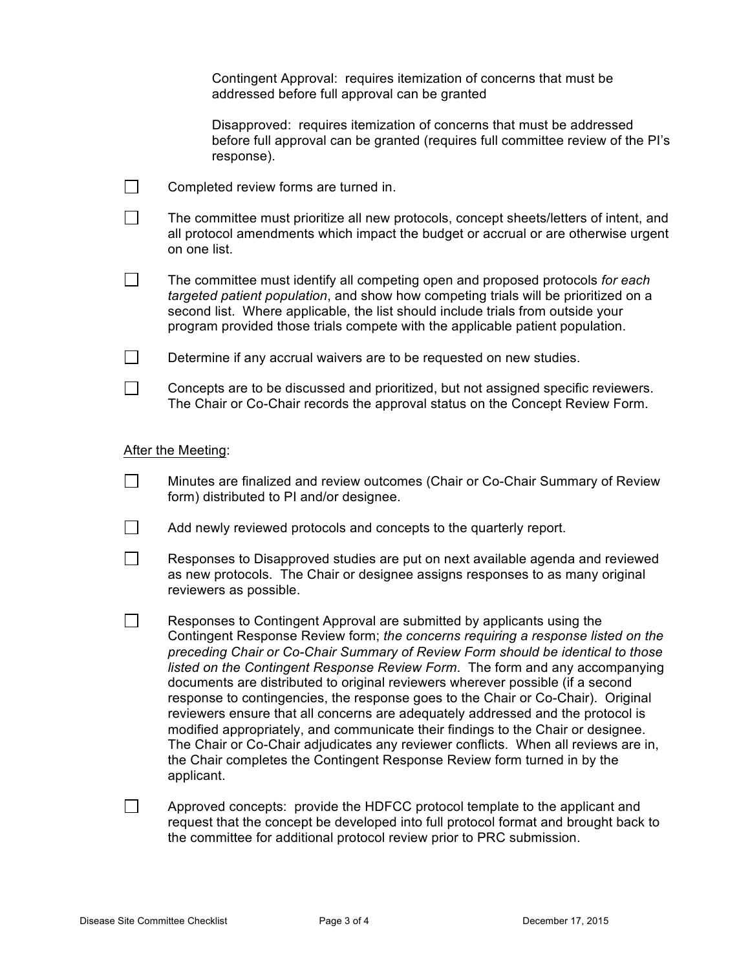|                    | Contingent Approval: requires itemization of concerns that must be<br>addressed before full approval can be granted                                                                                                                                                                                                                                                                                                                                                                                                                                                                                                                                                                                                                                                                                                                                        |  |  |  |
|--------------------|------------------------------------------------------------------------------------------------------------------------------------------------------------------------------------------------------------------------------------------------------------------------------------------------------------------------------------------------------------------------------------------------------------------------------------------------------------------------------------------------------------------------------------------------------------------------------------------------------------------------------------------------------------------------------------------------------------------------------------------------------------------------------------------------------------------------------------------------------------|--|--|--|
|                    | Disapproved: requires itemization of concerns that must be addressed<br>before full approval can be granted (requires full committee review of the PI's<br>response).                                                                                                                                                                                                                                                                                                                                                                                                                                                                                                                                                                                                                                                                                      |  |  |  |
|                    | Completed review forms are turned in.                                                                                                                                                                                                                                                                                                                                                                                                                                                                                                                                                                                                                                                                                                                                                                                                                      |  |  |  |
|                    | The committee must prioritize all new protocols, concept sheets/letters of intent, and<br>all protocol amendments which impact the budget or accrual or are otherwise urgent<br>on one list.                                                                                                                                                                                                                                                                                                                                                                                                                                                                                                                                                                                                                                                               |  |  |  |
|                    | The committee must identify all competing open and proposed protocols for each<br>targeted patient population, and show how competing trials will be prioritized on a<br>second list. Where applicable, the list should include trials from outside your<br>program provided those trials compete with the applicable patient population.                                                                                                                                                                                                                                                                                                                                                                                                                                                                                                                  |  |  |  |
|                    | Determine if any accrual waivers are to be requested on new studies.                                                                                                                                                                                                                                                                                                                                                                                                                                                                                                                                                                                                                                                                                                                                                                                       |  |  |  |
|                    | Concepts are to be discussed and prioritized, but not assigned specific reviewers.<br>The Chair or Co-Chair records the approval status on the Concept Review Form.                                                                                                                                                                                                                                                                                                                                                                                                                                                                                                                                                                                                                                                                                        |  |  |  |
| After the Meeting: |                                                                                                                                                                                                                                                                                                                                                                                                                                                                                                                                                                                                                                                                                                                                                                                                                                                            |  |  |  |
|                    | Minutes are finalized and review outcomes (Chair or Co-Chair Summary of Review<br>form) distributed to PI and/or designee.                                                                                                                                                                                                                                                                                                                                                                                                                                                                                                                                                                                                                                                                                                                                 |  |  |  |
|                    | Add newly reviewed protocols and concepts to the quarterly report.                                                                                                                                                                                                                                                                                                                                                                                                                                                                                                                                                                                                                                                                                                                                                                                         |  |  |  |
|                    | Responses to Disapproved studies are put on next available agenda and reviewed<br>as new protocols. The Chair or designee assigns responses to as many original<br>reviewers as possible.                                                                                                                                                                                                                                                                                                                                                                                                                                                                                                                                                                                                                                                                  |  |  |  |
|                    | Responses to Contingent Approval are submitted by applicants using the<br>Contingent Response Review form; the concerns requiring a response listed on the<br>preceding Chair or Co-Chair Summary of Review Form should be identical to those<br>listed on the Contingent Response Review Form. The form and any accompanying<br>documents are distributed to original reviewers wherever possible (if a second<br>response to contingencies, the response goes to the Chair or Co-Chair). Original<br>reviewers ensure that all concerns are adequately addressed and the protocol is<br>modified appropriately, and communicate their findings to the Chair or designee.<br>The Chair or Co-Chair adjudicates any reviewer conflicts. When all reviews are in,<br>the Chair completes the Contingent Response Review form turned in by the<br>applicant. |  |  |  |
|                    | Approved concepts: provide the HDFCC protocol template to the applicant and<br>request that the concept be developed into full protocol format and brought back to<br>the committee for additional protocol review prior to PRC submission.                                                                                                                                                                                                                                                                                                                                                                                                                                                                                                                                                                                                                |  |  |  |